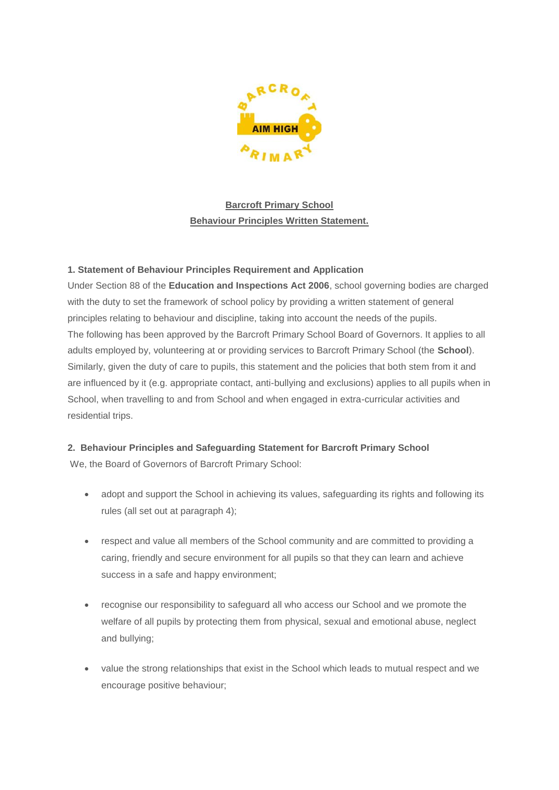

**Barcroft Primary School Behaviour Principles Written Statement.**

# **1. Statement of Behaviour Principles Requirement and Application**

Under Section 88 of the **Education and Inspections Act 2006**, school governing bodies are charged with the duty to set the framework of school policy by providing a written statement of general principles relating to behaviour and discipline, taking into account the needs of the pupils. The following has been approved by the Barcroft Primary School Board of Governors. It applies to all adults employed by, volunteering at or providing services to Barcroft Primary School (the **School**). Similarly, given the duty of care to pupils, this statement and the policies that both stem from it and are influenced by it (e.g. appropriate contact, anti-bullying and exclusions) applies to all pupils when in School, when travelling to and from School and when engaged in extra-curricular activities and residential trips.

# **2. Behaviour Principles and Safeguarding Statement for Barcroft Primary School**

We, the Board of Governors of Barcroft Primary School:

- adopt and support the School in achieving its values, safeguarding its rights and following its rules (all set out at paragraph 4);
- respect and value all members of the School community and are committed to providing a caring, friendly and secure environment for all pupils so that they can learn and achieve success in a safe and happy environment;
- recognise our responsibility to safeguard all who access our School and we promote the welfare of all pupils by protecting them from physical, sexual and emotional abuse, neglect and bullying;
- value the strong relationships that exist in the School which leads to mutual respect and we encourage positive behaviour;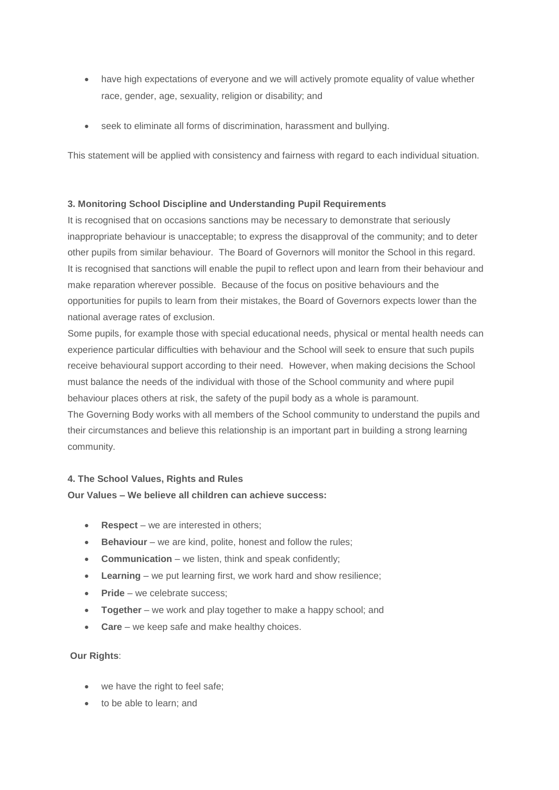- have high expectations of everyone and we will actively promote equality of value whether race, gender, age, sexuality, religion or disability; and
- seek to eliminate all forms of discrimination, harassment and bullying.

This statement will be applied with consistency and fairness with regard to each individual situation.

### **3. Monitoring School Discipline and Understanding Pupil Requirements**

It is recognised that on occasions sanctions may be necessary to demonstrate that seriously inappropriate behaviour is unacceptable; to express the disapproval of the community; and to deter other pupils from similar behaviour. The Board of Governors will monitor the School in this regard. It is recognised that sanctions will enable the pupil to reflect upon and learn from their behaviour and make reparation wherever possible. Because of the focus on positive behaviours and the opportunities for pupils to learn from their mistakes, the Board of Governors expects lower than the national average rates of exclusion.

Some pupils, for example those with special educational needs, physical or mental health needs can experience particular difficulties with behaviour and the School will seek to ensure that such pupils receive behavioural support according to their need. However, when making decisions the School must balance the needs of the individual with those of the School community and where pupil behaviour places others at risk, the safety of the pupil body as a whole is paramount. The Governing Body works with all members of the School community to understand the pupils and their circumstances and believe this relationship is an important part in building a strong learning community.

### **4. The School Values, Rights and Rules**

### **Our Values – We believe all children can achieve success:**

- **Respect**  we are interested in others;
- **Behaviour** we are kind, polite, honest and follow the rules;
- **Communication** we listen, think and speak confidently;
- **Learning** we put learning first, we work hard and show resilience;
- **Pride** we celebrate success:
- **Together**  we work and play together to make a happy school; and
- **Care** we keep safe and make healthy choices.

#### **Our Rights**:

- we have the right to feel safe;
- to be able to learn; and